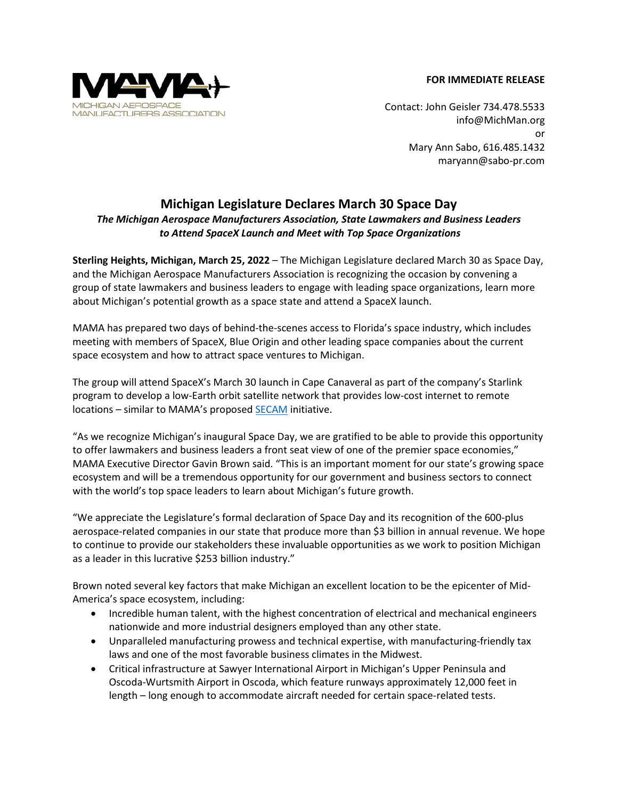## **FOR IMMEDIATE RELEASE**



Contact: John Geisler 734.478.5533 [info@MichMan.org](mailto:info@MichMan.org) or Mary Ann Sabo, 616.485.1432 maryann@sabo-pr.com

## **Michigan Legislature Declares March 30 Space Day**

## *The Michigan Aerospace Manufacturers Association, State Lawmakers and Business Leaders to Attend SpaceX Launch and Meet with Top Space Organizations*

**Sterling Heights, Michigan, March 25, 2022** – The Michigan Legislature declared March 30 as Space Day, and the Michigan Aerospace Manufacturers Association is recognizing the occasion by convening a group of state lawmakers and business leaders to engage with leading space organizations, learn more about Michigan's potential growth as a space state and attend a SpaceX launch.

MAMA has prepared two days of behind-the-scenes access to Florida's space industry, which includes meeting with members of SpaceX, Blue Origin and other leading space companies about the current space ecosystem and how to attract space ventures to Michigan.

The group will attend SpaceX's March 30 launch in Cape Canaveral as part of the company's Starlink program to develop a low-Earth orbit satellite network that provides low-cost internet to remote locations – similar to MAMA's proposed **[SECAM](http://www.michman.org/resources/Documents/PRESS%20RELEASE%20-%20SECAM%20(May21).pdf)** initiative.

"As we recognize Michigan's inaugural Space Day, we are gratified to be able to provide this opportunity to offer lawmakers and business leaders a front seat view of one of the premier space economies," MAMA Executive Director Gavin Brown said. "This is an important moment for our state's growing space ecosystem and will be a tremendous opportunity for our government and business sectors to connect with the world's top space leaders to learn about Michigan's future growth.

"We appreciate the Legislature's formal declaration of Space Day and its recognition of the 600-plus aerospace-related companies in our state that produce more than \$3 billion in annual revenue. We hope to continue to provide our stakeholders these invaluable opportunities as we work to position Michigan as a leader in this lucrative \$253 billion industry."

Brown noted several key factors that make Michigan an excellent location to be the epicenter of Mid-America's space ecosystem, including:

- Incredible human talent, with the highest concentration of electrical and mechanical engineers nationwide and more industrial designers employed than any other state.
- Unparalleled manufacturing prowess and technical expertise, with manufacturing-friendly tax laws and one of the most favorable business climates in the Midwest.
- Critical infrastructure at Sawyer International Airport in Michigan's Upper Peninsula and Oscoda-Wurtsmith Airport in Oscoda, which feature runways approximately 12,000 feet in length – long enough to accommodate aircraft needed for certain space-related tests.